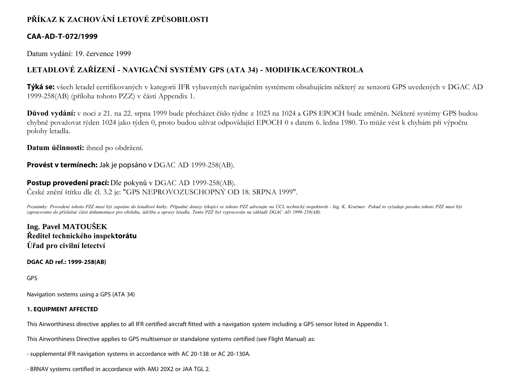# **PŘÍKAZ K ZACHOVÁNÍ LETOVÉ ZPŮSOBILOSTI**

## **CAA-AD-T-072/1999**

Datum vydání: 19. července 1999

## **LETADLOVÉ ZAŘÍZENÍ - NAVIGAČNÍ SYSTÉMY GPS (ATA 34) - MODIFIKACE/KONTROLA**

**Týká se:** všech letadel certifikovaných v kategorii IFR vybavených navigačním systémem obsahujícím některý ze senzorů GPS uvedených v DGAC AD 1999-258(AB) (příloha tohoto PZZ) v části Appendix 1.

**Důvod vydání:** v noci z 21. na 22. srpna 1999 bude přecházet číslo týdne z 1023 na 1024 a GPS EPOCH bude změněn. Některé systémy GPS budou chybně považovat týden 1024 jako týden 0, proto budou užívat odpovídající EPOCH 0 s datem 6. ledna 1980. To může vést k chybám při výpočtu polohy letadla.

**Datum účinnosti:** ihned po obdržení.

**Provést v termínech:** Jak je popsáno v DGAC AD 1999-258(AB).

## **Postup provedení prací:** Dle pokynů v DGAC AD 1999-258(AB).

České znění štítku dle čl. 3.2 je: "GPS NEPROVOZUSCHOPNÝ OD 18. SRPNA 1999".

*Poznámky: Provedení tohoto PZZ musí být zapsáno do letadlové knihy. Případné dotazy týkající se tohoto PZZ adresujte na ÚCL technický inspektorát - Ing. K. Kračmer. Pokud to vyžaduje povaha tohoto PZZ musí být zapracováno do příslušné části dokumentace pro obsluhu, údržbu a opravy letadla. Tento PZZ byl vypracován na základě DGAC AD 1999-258(AB).*

**Ing. Pavel MATOUŠEK Ředitel technického inspektorátu Úřad pro civilní letectví**

### **DGAC AD ref.: 1999-258(AB)**

GPS

Navigation svstems using a GPS (ATA 34)

### **1. EQUIPMENT AFFECTED**

This Airworthiness directive applies to all IFR certified aircraft fitted with a navigation system including a GPS sensor listed in Appendix 1.

This Airworthiness Directive applies to GPS multisensor or standalone systems certified (see Flight Manual) as:

- supplemental IFR navigation systems in accordance with AC 20-138 or AC 20-130A.

- BRNAV systems certified in accordance with AMJ 20X2 or JAA TGL 2.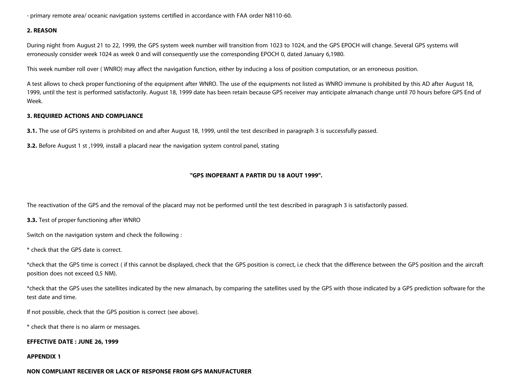- primary remote area/ oceanic navigation systems certified in accordance with FAA order N8110-60.

#### **2. REASON**

During night from August 21 to 22, 1999, the GPS system week number will transition from 1023 to 1024, and the GPS EPOCH will change. Several GPS systems will erroneously consider week 1024 as week 0 and will consequently use the corresponding EPOCH 0, dated January 6,1980.

This week number roll over ( WNRO) may affect the navigation function, either by inducing a loss of position computation, or an erroneous position.

A test allows to check proper functioning of the equipment after WNRO. The use of the equipments not listed as WNRO immune is prohibited by this AD after August 18, 1999, until the test is performed satisfactorily. August 18, 1999 date has been retain because GPS receiver may anticipate almanach change until 70 hours before GPS End of Week.

#### **3. REQUIRED ACTIONS AND COMPLIANCE**

**3.1.** The use of GPS systems is prohibited on and after August 18, 1999, until the test described in paragraph 3 is successfully passed.

**3.2.** Before August 1 st ,1999, install a placard near the navigation system control panel, stating

#### **"GPS INOPERANT A PARTIR DU 18 AOUT 1999".**

The reactivation of the GPS and the removal of the placard may not be performed until the test described in paragraph 3 is satisfactorily passed.

**3.3.** Test of proper functioning after WNRO

Switch on the navigation system and check the following :

\* check that the GPS date is correct.

\*check that the GPS time is correct ( if this cannot be displayed, check that the GPS position is correct, i.e check that the difference between the GPS position and the aircraft position does not exceed 0,5 NM).

\*check that the GPS uses the satellites indicated by the new almanach, by comparing the satellites used by the GPS with those indicated by a GPS prediction software for the test date and time.

If not possible, check that the GPS position is correct (see above).

\* check that there is no alarm or messages.

#### **EFFECTIVE DATE : JUNE 26, 1999**

#### **APPENDIX 1**

#### **NON COMPLIANT RECEIVER OR LACK OF RESPONSE FROM GPS MANUFACTURER**